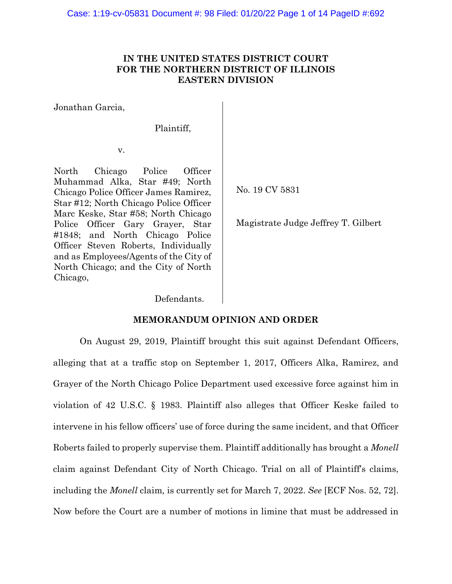# **IN THE UNITED STATES DISTRICT COURT FOR THE NORTHERN DISTRICT OF ILLINOIS EASTERN DIVISION**

Jonathan Garcia,

Plaintiff,

v.

North Chicago Police Officer Muhammad Alka, Star #49; North Chicago Police Officer James Ramirez, Star #12; North Chicago Police Officer Marc Keske, Star #58; North Chicago Police Officer Gary Grayer, Star #1848; and North Chicago Police Officer Steven Roberts, Individually and as Employees/Agents of the City of North Chicago; and the City of North Chicago,

No. 19 CV 5831

Magistrate Judge Jeffrey T. Gilbert

Defendants.

# **MEMORANDUM OPINION AND ORDER**

On August 29, 2019, Plaintiff brought this suit against Defendant Officers, alleging that at a traffic stop on September 1, 2017, Officers Alka, Ramirez, and Grayer of the North Chicago Police Department used excessive force against him in violation of 42 U.S.C. § 1983. Plaintiff also alleges that Officer Keske failed to intervene in his fellow officers' use of force during the same incident, and that Officer Roberts failed to properly supervise them. Plaintiff additionally has brought a *Monell*  claim against Defendant City of North Chicago. Trial on all of Plaintiff's claims, including the *Monell* claim*,* is currently set for March 7, 2022. *See* [ECF Nos. 52, 72]. Now before the Court are a number of motions in limine that must be addressed in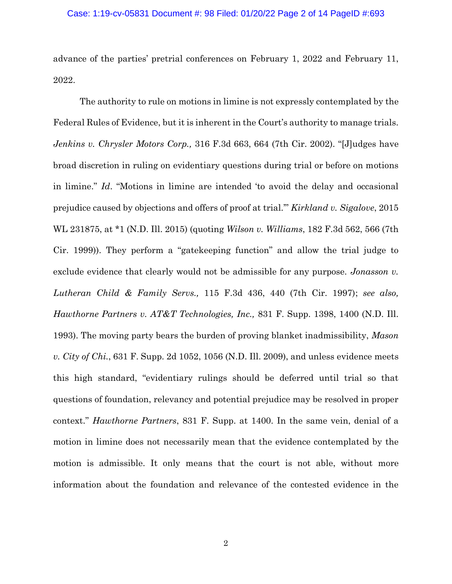advance of the parties' pretrial conferences on February 1, 2022 and February 11, 2022.

The authority to rule on motions in limine is not expressly contemplated by the Federal Rules of Evidence, but it is inherent in the Court's authority to manage trials. *Jenkins v. Chrysler Motors Corp.,* 316 F.3d 663, 664 (7th Cir. 2002). "[J]udges have broad discretion in ruling on evidentiary questions during trial or before on motions in limine." *Id*. "Motions in limine are intended 'to avoid the delay and occasional prejudice caused by objections and offers of proof at trial.'" *Kirkland v. Sigalove*, 2015 WL 231875, at \*1 (N.D. Ill. 2015) (quoting *Wilson v. Williams*, 182 F.3d 562, 566 (7th Cir. 1999)). They perform a "gatekeeping function" and allow the trial judge to exclude evidence that clearly would not be admissible for any purpose. *Jonasson v. Lutheran Child & Family Servs.,* 115 F.3d 436, 440 (7th Cir. 1997); *see also, Hawthorne Partners v. AT&T Technologies, Inc.,* 831 F. Supp. 1398, 1400 (N.D. Ill. 1993). The moving party bears the burden of proving blanket inadmissibility, *Mason v. City of Chi.*, 631 F. Supp. 2d 1052, 1056 (N.D. Ill. 2009), and unless evidence meets this high standard, "evidentiary rulings should be deferred until trial so that questions of foundation, relevancy and potential prejudice may be resolved in proper context." *Hawthorne Partners*, 831 F. Supp. at 1400. In the same vein, denial of a motion in limine does not necessarily mean that the evidence contemplated by the motion is admissible. It only means that the court is not able, without more information about the foundation and relevance of the contested evidence in the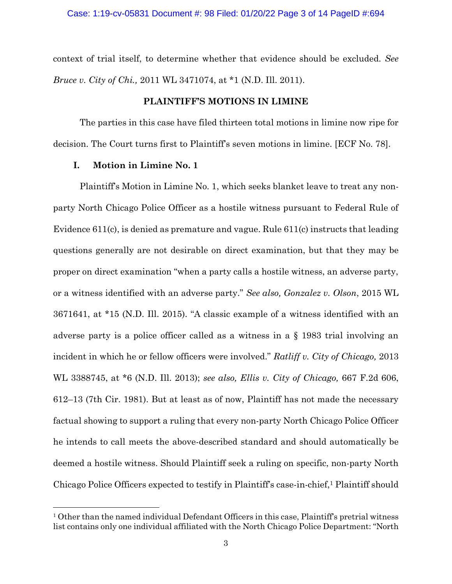context of trial itself, to determine whether that evidence should be excluded. *See Bruce v. City of Chi.,* 2011 WL 3471074, at \*1 (N.D. Ill. 2011).

## **PLAINTIFF'S MOTIONS IN LIMINE**

The parties in this case have filed thirteen total motions in limine now ripe for decision. The Court turns first to Plaintiff's seven motions in limine. [ECF No. 78].

#### **I. Motion in Limine No. 1**

Plaintiff's Motion in Limine No. 1, which seeks blanket leave to treat any nonparty North Chicago Police Officer as a hostile witness pursuant to Federal Rule of Evidence 611(c), is denied as premature and vague. Rule 611(c) instructs that leading questions generally are not desirable on direct examination, but that they may be proper on direct examination "when a party calls a hostile witness, an adverse party, or a witness identified with an adverse party." *See also, Gonzalez v. Olson*, 2015 WL 3671641, at \*15 (N.D. Ill. 2015). "A classic example of a witness identified with an adverse party is a police officer called as a witness in a § 1983 trial involving an incident in which he or fellow officers were involved." *Ratliff v. City of Chicago,* 2013 WL 3388745, at \*6 (N.D. Ill. 2013); *see also, Ellis v. City of Chicago,* 667 F.2d 606, 612–13 (7th Cir. 1981). But at least as of now, Plaintiff has not made the necessary factual showing to support a ruling that every non-party North Chicago Police Officer he intends to call meets the above-described standard and should automatically be deemed a hostile witness. Should Plaintiff seek a ruling on specific, non-party North Chicago Police Officers expected to testify in Plaintiff's case-in-chief,<sup>1</sup> Plaintiff should

 $10$  Other than the named individual Defendant Officers in this case, Plaintiff's pretrial witness list contains only one individual affiliated with the North Chicago Police Department: "North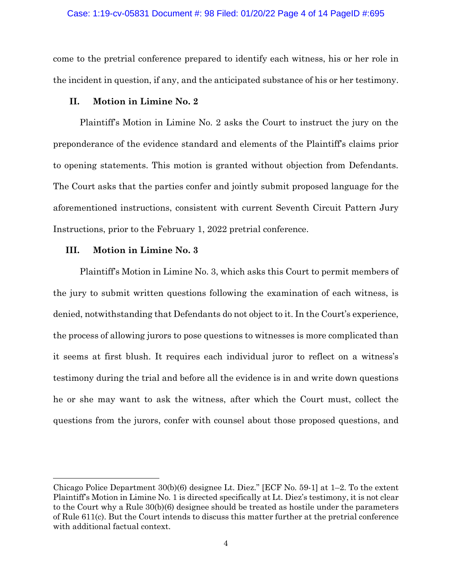#### Case: 1:19-cv-05831 Document #: 98 Filed: 01/20/22 Page 4 of 14 PageID #:695

come to the pretrial conference prepared to identify each witness, his or her role in the incident in question, if any, and the anticipated substance of his or her testimony.

## **II. Motion in Limine No. 2**

Plaintiff's Motion in Limine No. 2 asks the Court to instruct the jury on the preponderance of the evidence standard and elements of the Plaintiff's claims prior to opening statements. This motion is granted without objection from Defendants. The Court asks that the parties confer and jointly submit proposed language for the aforementioned instructions, consistent with current Seventh Circuit Pattern Jury Instructions, prior to the February 1, 2022 pretrial conference.

#### **III. Motion in Limine No. 3**

Plaintiff's Motion in Limine No. 3, which asks this Court to permit members of the jury to submit written questions following the examination of each witness, is denied, notwithstanding that Defendants do not object to it. In the Court's experience, the process of allowing jurors to pose questions to witnesses is more complicated than it seems at first blush. It requires each individual juror to reflect on a witness's testimony during the trial and before all the evidence is in and write down questions he or she may want to ask the witness, after which the Court must, collect the questions from the jurors, confer with counsel about those proposed questions, and

Chicago Police Department 30(b)(6) designee Lt. Diez." [ECF No. 59-1] at 1–2. To the extent Plaintiff's Motion in Limine No. 1 is directed specifically at Lt. Diez's testimony, it is not clear to the Court why a Rule 30(b)(6) designee should be treated as hostile under the parameters of Rule 611(c). But the Court intends to discuss this matter further at the pretrial conference with additional factual context.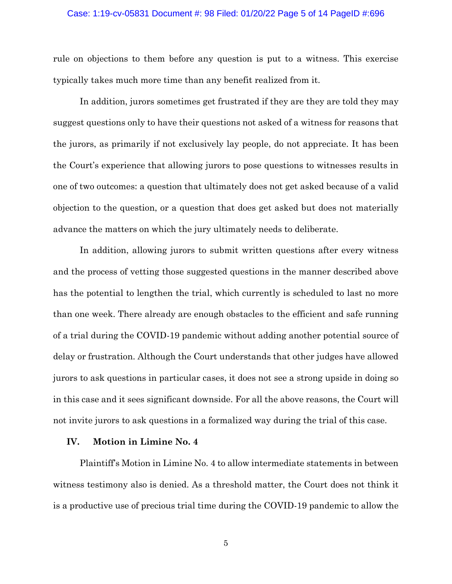## Case: 1:19-cv-05831 Document #: 98 Filed: 01/20/22 Page 5 of 14 PageID #:696

rule on objections to them before any question is put to a witness. This exercise typically takes much more time than any benefit realized from it.

In addition, jurors sometimes get frustrated if they are they are told they may suggest questions only to have their questions not asked of a witness for reasons that the jurors, as primarily if not exclusively lay people, do not appreciate. It has been the Court's experience that allowing jurors to pose questions to witnesses results in one of two outcomes: a question that ultimately does not get asked because of a valid objection to the question, or a question that does get asked but does not materially advance the matters on which the jury ultimately needs to deliberate.

In addition, allowing jurors to submit written questions after every witness and the process of vetting those suggested questions in the manner described above has the potential to lengthen the trial, which currently is scheduled to last no more than one week. There already are enough obstacles to the efficient and safe running of a trial during the COVID-19 pandemic without adding another potential source of delay or frustration. Although the Court understands that other judges have allowed jurors to ask questions in particular cases, it does not see a strong upside in doing so in this case and it sees significant downside. For all the above reasons, the Court will not invite jurors to ask questions in a formalized way during the trial of this case.

### **IV. Motion in Limine No. 4**

Plaintiff's Motion in Limine No. 4 to allow intermediate statements in between witness testimony also is denied. As a threshold matter, the Court does not think it is a productive use of precious trial time during the COVID-19 pandemic to allow the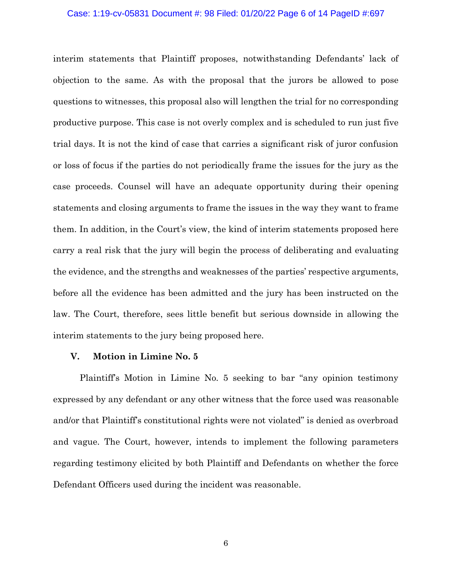#### Case: 1:19-cv-05831 Document #: 98 Filed: 01/20/22 Page 6 of 14 PageID #:697

interim statements that Plaintiff proposes, notwithstanding Defendants' lack of objection to the same. As with the proposal that the jurors be allowed to pose questions to witnesses, this proposal also will lengthen the trial for no corresponding productive purpose. This case is not overly complex and is scheduled to run just five trial days. It is not the kind of case that carries a significant risk of juror confusion or loss of focus if the parties do not periodically frame the issues for the jury as the case proceeds. Counsel will have an adequate opportunity during their opening statements and closing arguments to frame the issues in the way they want to frame them. In addition, in the Court's view, the kind of interim statements proposed here carry a real risk that the jury will begin the process of deliberating and evaluating the evidence, and the strengths and weaknesses of the parties' respective arguments, before all the evidence has been admitted and the jury has been instructed on the law. The Court, therefore, sees little benefit but serious downside in allowing the interim statements to the jury being proposed here.

#### **V. Motion in Limine No. 5**

Plaintiff's Motion in Limine No. 5 seeking to bar "any opinion testimony expressed by any defendant or any other witness that the force used was reasonable and/or that Plaintiff's constitutional rights were not violated" is denied as overbroad and vague. The Court, however, intends to implement the following parameters regarding testimony elicited by both Plaintiff and Defendants on whether the force Defendant Officers used during the incident was reasonable.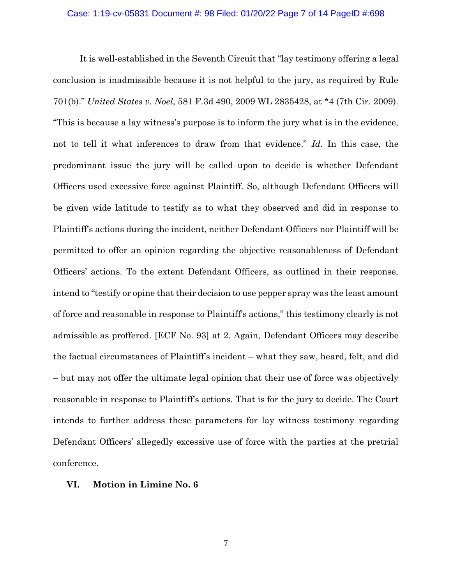## Case: 1:19-cv-05831 Document #: 98 Filed: 01/20/22 Page 7 of 14 PageID #:698

It is well-established in the Seventh Circuit that "lay testimony offering a legal conclusion is inadmissible because it is not helpful to the jury, as required by Rule 701(b)." *United States v. Noel*, 581 F.3d 490, 2009 WL 2835428, at \*4 (7th Cir. 2009). "This is because a lay witness's purpose is to inform the jury what is in the evidence, not to tell it what inferences to draw from that evidence." *Id*. In this case, the predominant issue the jury will be called upon to decide is whether Defendant Officers used excessive force against Plaintiff. So, although Defendant Officers will be given wide latitude to testify as to what they observed and did in response to Plaintiff's actions during the incident, neither Defendant Officers nor Plaintiff will be permitted to offer an opinion regarding the objective reasonableness of Defendant Officers' actions. To the extent Defendant Officers, as outlined in their response, intend to "testify or opine that their decision to use pepper spray was the least amount of force and reasonable in response to Plaintiff's actions," this testimony clearly is not admissible as proffered. [ECF No. 93] at 2. Again, Defendant Officers may describe the factual circumstances of Plaintiff's incident – what they saw, heard, felt, and did – but may not offer the ultimate legal opinion that their use of force was objectively reasonable in response to Plaintiff's actions. That is for the jury to decide. The Court intends to further address these parameters for lay witness testimony regarding Defendant Officers' allegedly excessive use of force with the parties at the pretrial conference.

## **VI. Motion in Limine No. 6**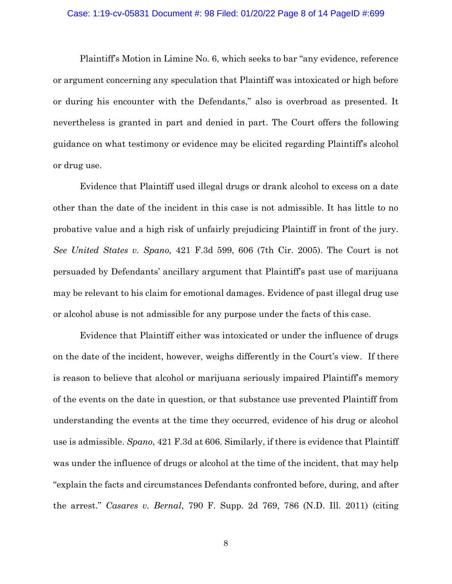#### Case: 1:19-cv-05831 Document #: 98 Filed: 01/20/22 Page 8 of 14 PageID #:699

Plaintiff's Motion in Limine No. 6, which seeks to bar "any evidence, reference or argument concerning any speculation that Plaintiff was intoxicated or high before or during his encounter with the Defendants," also is overbroad as presented. It nevertheless is granted in part and denied in part. The Court offers the following guidance on what testimony or evidence may be elicited regarding Plaintiff's alcohol or drug use.

Evidence that Plaintiff used illegal drugs or drank alcohol to excess on a date other than the date of the incident in this case is not admissible. It has little to no probative value and a high risk of unfairly prejudicing Plaintiff in front of the jury. *See United States v. Spano,* 421 F.3d 599, 606 (7th Cir. 2005). The Court is not persuaded by Defendants' ancillary argument that Plaintiff's past use of marijuana may be relevant to his claim for emotional damages. Evidence of past illegal drug use or alcohol abuse is not admissible for any purpose under the facts of this case.

Evidence that Plaintiff either was intoxicated or under the influence of drugs on the date of the incident, however, weighs differently in the Court's view. If there is reason to believe that alcohol or marijuana seriously impaired Plaintiff's memory of the events on the date in question, or that substance use prevented Plaintiff from understanding the events at the time they occurred, evidence of his drug or alcohol use is admissible. *Spano*, 421 F.3d at 606. Similarly, if there is evidence that Plaintiff was under the influence of drugs or alcohol at the time of the incident, that may help "explain the facts and circumstances Defendants confronted before, during, and after the arrest." *Casares v. Bernal*, 790 F. Supp. 2d 769, 786 (N.D. Ill. 2011) (citing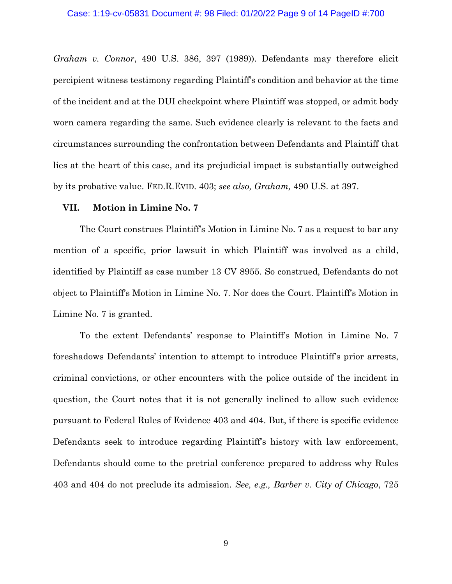*Graham v. Connor*, 490 U.S. 386, 397 (1989)). Defendants may therefore elicit percipient witness testimony regarding Plaintiff's condition and behavior at the time of the incident and at the DUI checkpoint where Plaintiff was stopped, or admit body worn camera regarding the same. Such evidence clearly is relevant to the facts and circumstances surrounding the confrontation between Defendants and Plaintiff that lies at the heart of this case, and its prejudicial impact is substantially outweighed by its probative value. FED.R.EVID. 403; *see also, Graham,* 490 U.S. at 397.

## **VII. Motion in Limine No. 7**

The Court construes Plaintiff's Motion in Limine No. 7 as a request to bar any mention of a specific, prior lawsuit in which Plaintiff was involved as a child, identified by Plaintiff as case number 13 CV 8955. So construed, Defendants do not object to Plaintiff's Motion in Limine No. 7. Nor does the Court. Plaintiff's Motion in Limine No. 7 is granted.

To the extent Defendants' response to Plaintiff's Motion in Limine No. 7 foreshadows Defendants' intention to attempt to introduce Plaintiff's prior arrests, criminal convictions, or other encounters with the police outside of the incident in question, the Court notes that it is not generally inclined to allow such evidence pursuant to Federal Rules of Evidence 403 and 404. But, if there is specific evidence Defendants seek to introduce regarding Plaintiff's history with law enforcement, Defendants should come to the pretrial conference prepared to address why Rules 403 and 404 do not preclude its admission. *See, e.g., Barber v. City of Chicago*, 725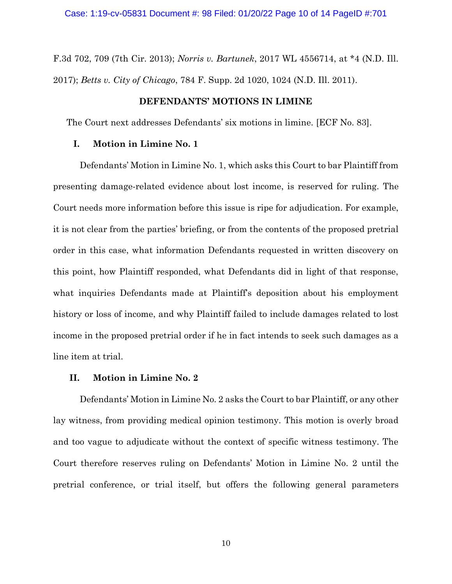F.3d 702, 709 (7th Cir. 2013); *Norris v. Bartunek*, 2017 WL 4556714, at \*4 (N.D. Ill. 2017); *Betts v. City of Chicago*, 784 F. Supp. 2d 1020, 1024 (N.D. Ill. 2011).

## **DEFENDANTS' MOTIONS IN LIMINE**

The Court next addresses Defendants' six motions in limine. [ECF No. 83].

## **I. Motion in Limine No. 1**

Defendants' Motion in Limine No. 1, which asks this Court to bar Plaintiff from presenting damage-related evidence about lost income, is reserved for ruling. The Court needs more information before this issue is ripe for adjudication. For example, it is not clear from the parties' briefing, or from the contents of the proposed pretrial order in this case, what information Defendants requested in written discovery on this point, how Plaintiff responded, what Defendants did in light of that response, what inquiries Defendants made at Plaintiff's deposition about his employment history or loss of income, and why Plaintiff failed to include damages related to lost income in the proposed pretrial order if he in fact intends to seek such damages as a line item at trial.

### **II. Motion in Limine No. 2**

Defendants' Motion in Limine No. 2 asks the Court to bar Plaintiff, or any other lay witness, from providing medical opinion testimony. This motion is overly broad and too vague to adjudicate without the context of specific witness testimony. The Court therefore reserves ruling on Defendants' Motion in Limine No. 2 until the pretrial conference, or trial itself, but offers the following general parameters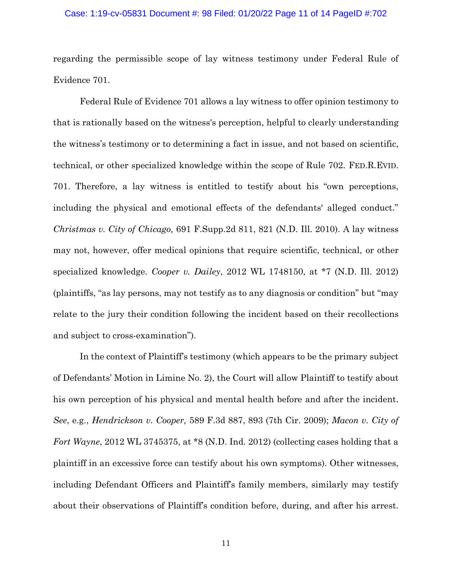#### Case: 1:19-cv-05831 Document #: 98 Filed: 01/20/22 Page 11 of 14 PageID #:702

regarding the permissible scope of lay witness testimony under Federal Rule of Evidence 701.

Federal Rule of Evidence 701 allows a lay witness to offer opinion testimony to that is rationally based on the witness's perception, helpful to clearly understanding the witness's testimony or to determining a fact in issue, and not based on scientific, technical, or other specialized knowledge within the scope of Rule 702. FED.R.EVID. 701. Therefore, a lay witness is entitled to testify about his "own perceptions, including the physical and emotional effects of the defendants' alleged conduct." *Christmas v. City of Chicago,* 691 F.Supp.2d 811, 821 (N.D. Ill. 2010). A lay witness may not, however, offer medical opinions that require scientific, technical, or other specialized knowledge. *Cooper v. Dailey*, 2012 WL 1748150, at \*7 (N.D. Ill. 2012) (plaintiffs, "as lay persons, may not testify as to any diagnosis or condition" but "may relate to the jury their condition following the incident based on their recollections and subject to cross-examination").

In the context of Plaintiff's testimony (which appears to be the primary subject of Defendants' Motion in Limine No. 2), the Court will allow Plaintiff to testify about his own perception of his physical and mental health before and after the incident. *See*, e.g., *Hendrickson v. Cooper,* 589 F.3d 887, 893 (7th Cir. 2009); *Macon v. City of Fort Wayne*, 2012 WL 3745375, at \*8 (N.D. Ind. 2012) (collecting cases holding that a plaintiff in an excessive force can testify about his own symptoms). Other witnesses, including Defendant Officers and Plaintiff's family members, similarly may testify about their observations of Plaintiff's condition before, during, and after his arrest.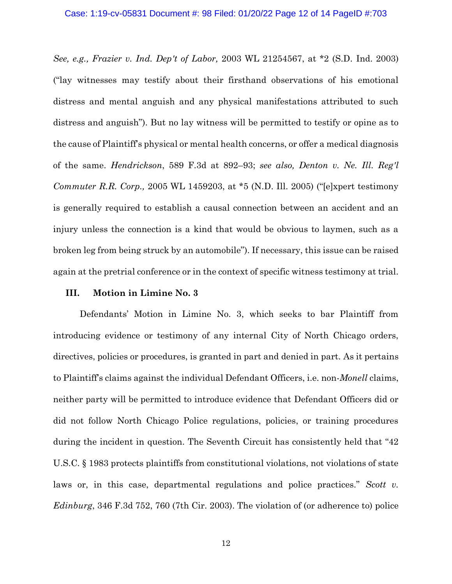*See, e.g., Frazier v. Ind. Dep't of Labor,* 2003 WL 21254567, at \*2 (S.D. Ind. 2003) ("lay witnesses may testify about their firsthand observations of his emotional distress and mental anguish and any physical manifestations attributed to such distress and anguish"). But no lay witness will be permitted to testify or opine as to the cause of Plaintiff's physical or mental health concerns, or offer a medical diagnosis of the same. *Hendrickson*, 589 F.3d at 892–93; *see also, Denton v. Ne. Ill. Reg'l Commuter R.R. Corp.,* 2005 WL 1459203, at \*5 (N.D. Ill. 2005) ("[e]xpert testimony is generally required to establish a causal connection between an accident and an injury unless the connection is a kind that would be obvious to laymen, such as a broken leg from being struck by an automobile"). If necessary, this issue can be raised again at the pretrial conference or in the context of specific witness testimony at trial.

#### **III. Motion in Limine No. 3**

Defendants' Motion in Limine No. 3, which seeks to bar Plaintiff from introducing evidence or testimony of any internal City of North Chicago orders, directives, policies or procedures, is granted in part and denied in part. As it pertains to Plaintiff's claims against the individual Defendant Officers, i.e. non-*Monell* claims, neither party will be permitted to introduce evidence that Defendant Officers did or did not follow North Chicago Police regulations, policies, or training procedures during the incident in question. The Seventh Circuit has consistently held that "42 U.S.C. § 1983 protects plaintiffs from constitutional violations, not violations of state laws or, in this case, departmental regulations and police practices." *Scott v. Edinburg*, 346 F.3d 752, 760 (7th Cir. 2003). The violation of (or adherence to) police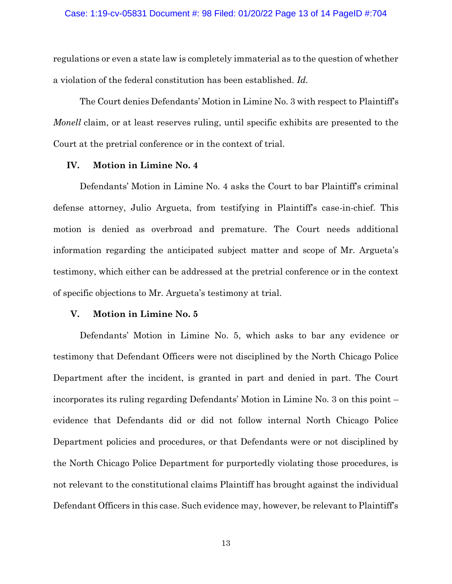regulations or even a state law is completely immaterial as to the question of whether a violation of the federal constitution has been established. *Id.* 

The Court denies Defendants' Motion in Limine No. 3 with respect to Plaintiff's *Monell* claim, or at least reserves ruling, until specific exhibits are presented to the Court at the pretrial conference or in the context of trial.

#### **IV. Motion in Limine No. 4**

Defendants' Motion in Limine No. 4 asks the Court to bar Plaintiff's criminal defense attorney, Julio Argueta, from testifying in Plaintiff's case-in-chief. This motion is denied as overbroad and premature. The Court needs additional information regarding the anticipated subject matter and scope of Mr. Argueta's testimony, which either can be addressed at the pretrial conference or in the context of specific objections to Mr. Argueta's testimony at trial.

## **V. Motion in Limine No. 5**

Defendants' Motion in Limine No. 5, which asks to bar any evidence or testimony that Defendant Officers were not disciplined by the North Chicago Police Department after the incident, is granted in part and denied in part. The Court incorporates its ruling regarding Defendants' Motion in Limine No. 3 on this point – evidence that Defendants did or did not follow internal North Chicago Police Department policies and procedures, or that Defendants were or not disciplined by the North Chicago Police Department for purportedly violating those procedures, is not relevant to the constitutional claims Plaintiff has brought against the individual Defendant Officers in this case. Such evidence may, however, be relevant to Plaintiff's